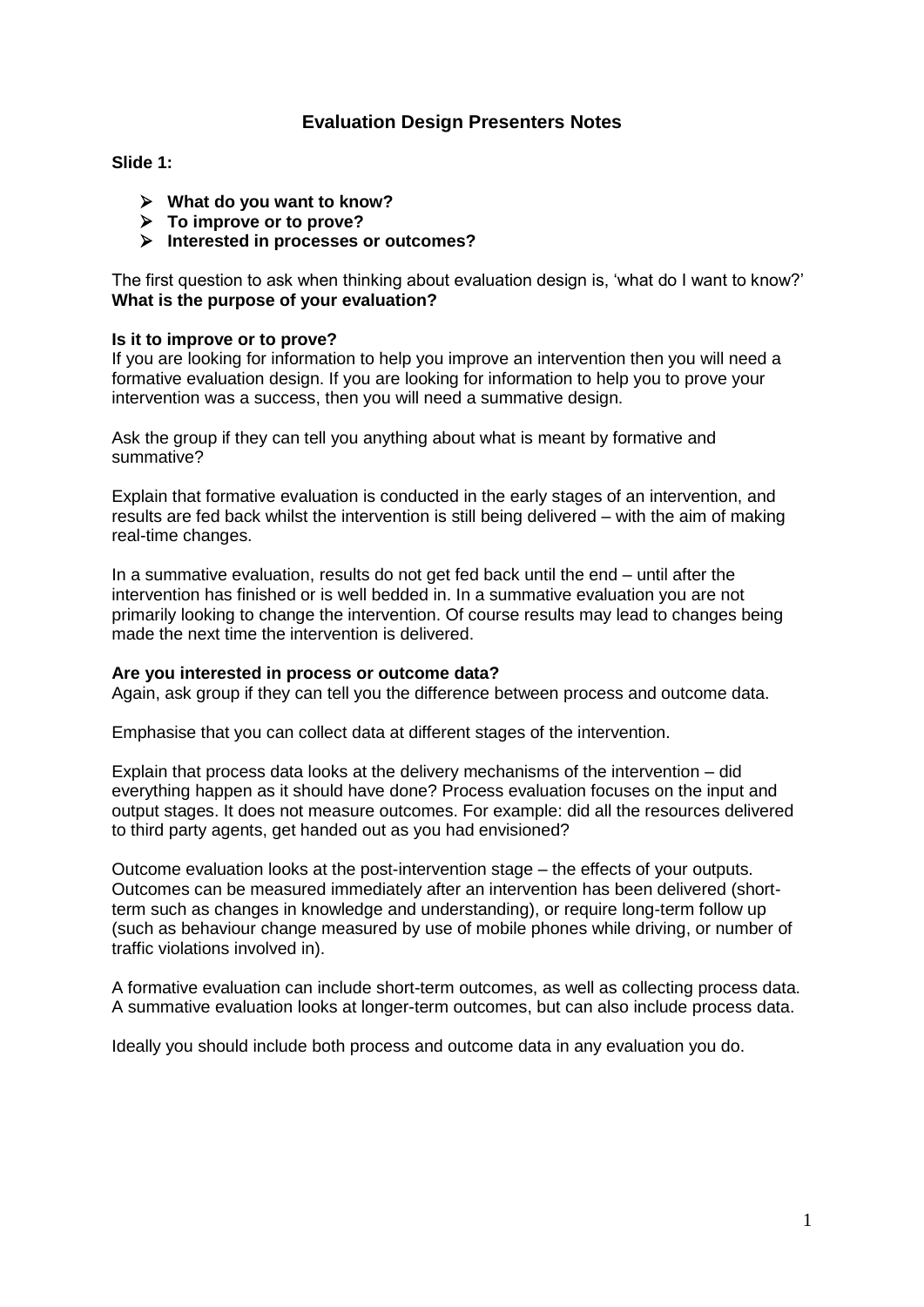# **Evaluation Design Presenters Notes**

**Slide 1:**

- **What do you want to know?**
- **To improve or to prove?**
- **Interested in processes or outcomes?**

The first question to ask when thinking about evaluation design is, 'what do I want to know?' **What is the purpose of your evaluation?**

### **Is it to improve or to prove?**

If you are looking for information to help you improve an intervention then you will need a formative evaluation design. If you are looking for information to help you to prove your intervention was a success, then you will need a summative design.

Ask the group if they can tell you anything about what is meant by formative and summative?

Explain that formative evaluation is conducted in the early stages of an intervention, and results are fed back whilst the intervention is still being delivered – with the aim of making real-time changes.

In a summative evaluation, results do not get fed back until the end – until after the intervention has finished or is well bedded in. In a summative evaluation you are not primarily looking to change the intervention. Of course results may lead to changes being made the next time the intervention is delivered.

### **Are you interested in process or outcome data?**

Again, ask group if they can tell you the difference between process and outcome data.

Emphasise that you can collect data at different stages of the intervention.

Explain that process data looks at the delivery mechanisms of the intervention – did everything happen as it should have done? Process evaluation focuses on the input and output stages. It does not measure outcomes. For example: did all the resources delivered to third party agents, get handed out as you had envisioned?

Outcome evaluation looks at the post-intervention stage – the effects of your outputs. Outcomes can be measured immediately after an intervention has been delivered (shortterm such as changes in knowledge and understanding), or require long-term follow up (such as behaviour change measured by use of mobile phones while driving, or number of traffic violations involved in).

A formative evaluation can include short-term outcomes, as well as collecting process data. A summative evaluation looks at longer-term outcomes, but can also include process data.

Ideally you should include both process and outcome data in any evaluation you do.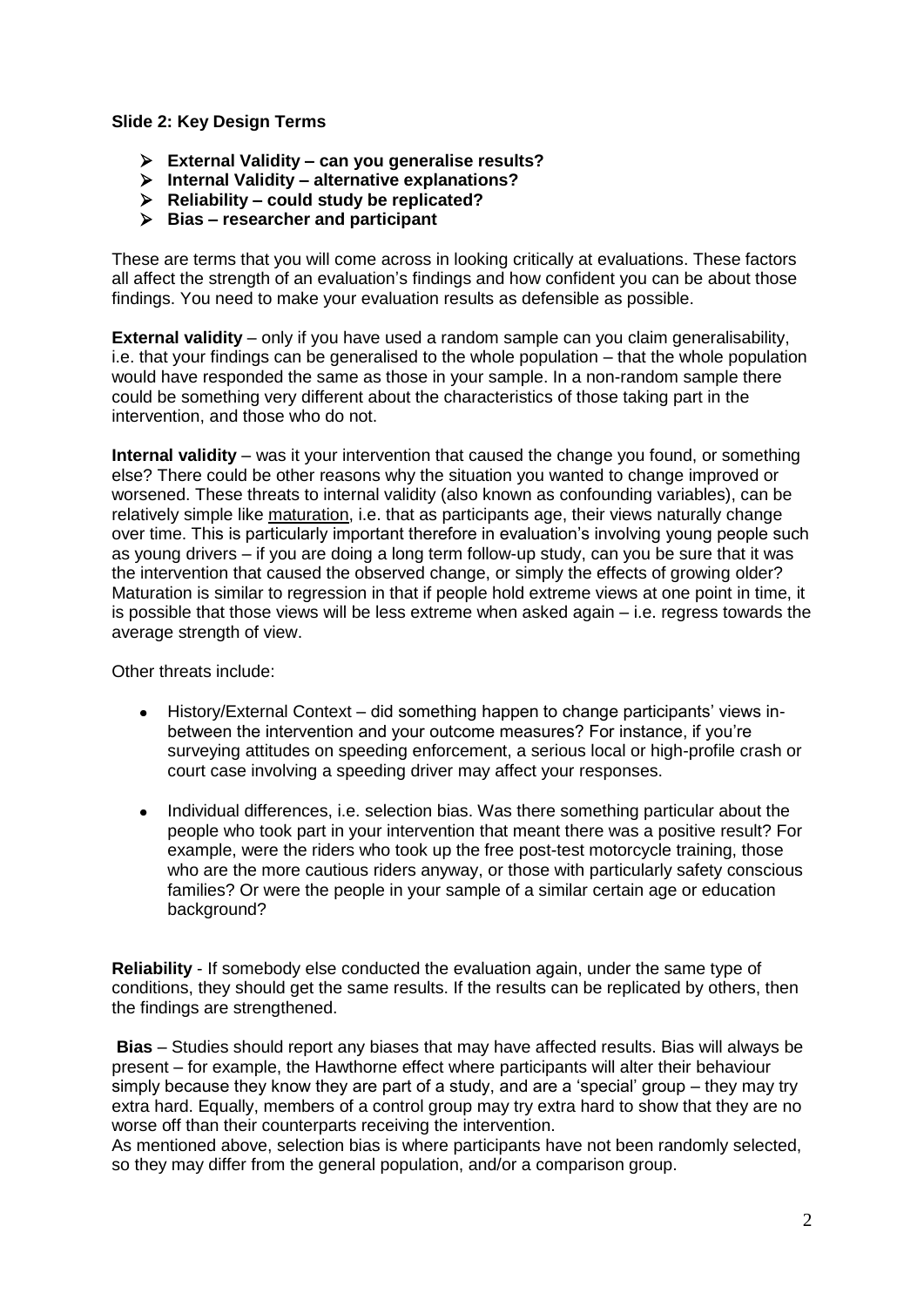### **Slide 2: Key Design Terms**

- **External Validity – can you generalise results?**
- **Internal Validity – alternative explanations?**
- **Reliability – could study be replicated?**
- **Bias – researcher and participant**

These are terms that you will come across in looking critically at evaluations. These factors all affect the strength of an evaluation's findings and how confident you can be about those findings. You need to make your evaluation results as defensible as possible.

**External validity** – only if you have used a random sample can you claim generalisability, i.e. that your findings can be generalised to the whole population – that the whole population would have responded the same as those in your sample. In a non-random sample there could be something very different about the characteristics of those taking part in the intervention, and those who do not.

**Internal validity** – was it your intervention that caused the change you found, or something else? There could be other reasons why the situation you wanted to change improved or worsened. These threats to internal validity (also known as confounding variables), can be relatively simple like maturation, i.e. that as participants age, their views naturally change over time. This is particularly important therefore in evaluation's involving young people such as young drivers – if you are doing a long term follow-up study, can you be sure that it was the intervention that caused the observed change, or simply the effects of growing older? Maturation is similar to regression in that if people hold extreme views at one point in time, it is possible that those views will be less extreme when asked again – i.e. regress towards the average strength of view.

Other threats include:

- History/External Context did something happen to change participants' views in- $\bullet$ between the intervention and your outcome measures? For instance, if you're surveying attitudes on speeding enforcement, a serious local or high-profile crash or court case involving a speeding driver may affect your responses.
- Individual differences, i.e. selection bias. Was there something particular about the  $\bullet$ people who took part in your intervention that meant there was a positive result? For example, were the riders who took up the free post-test motorcycle training, those who are the more cautious riders anyway, or those with particularly safety conscious families? Or were the people in your sample of a similar certain age or education background?

**Reliability** - If somebody else conducted the evaluation again, under the same type of conditions, they should get the same results. If the results can be replicated by others, then the findings are strengthened.

**Bias** – Studies should report any biases that may have affected results. Bias will always be present – for example, the Hawthorne effect where participants will alter their behaviour simply because they know they are part of a study, and are a 'special' group – they may try extra hard. Equally, members of a control group may try extra hard to show that they are no worse off than their counterparts receiving the intervention.

As mentioned above, selection bias is where participants have not been randomly selected, so they may differ from the general population, and/or a comparison group.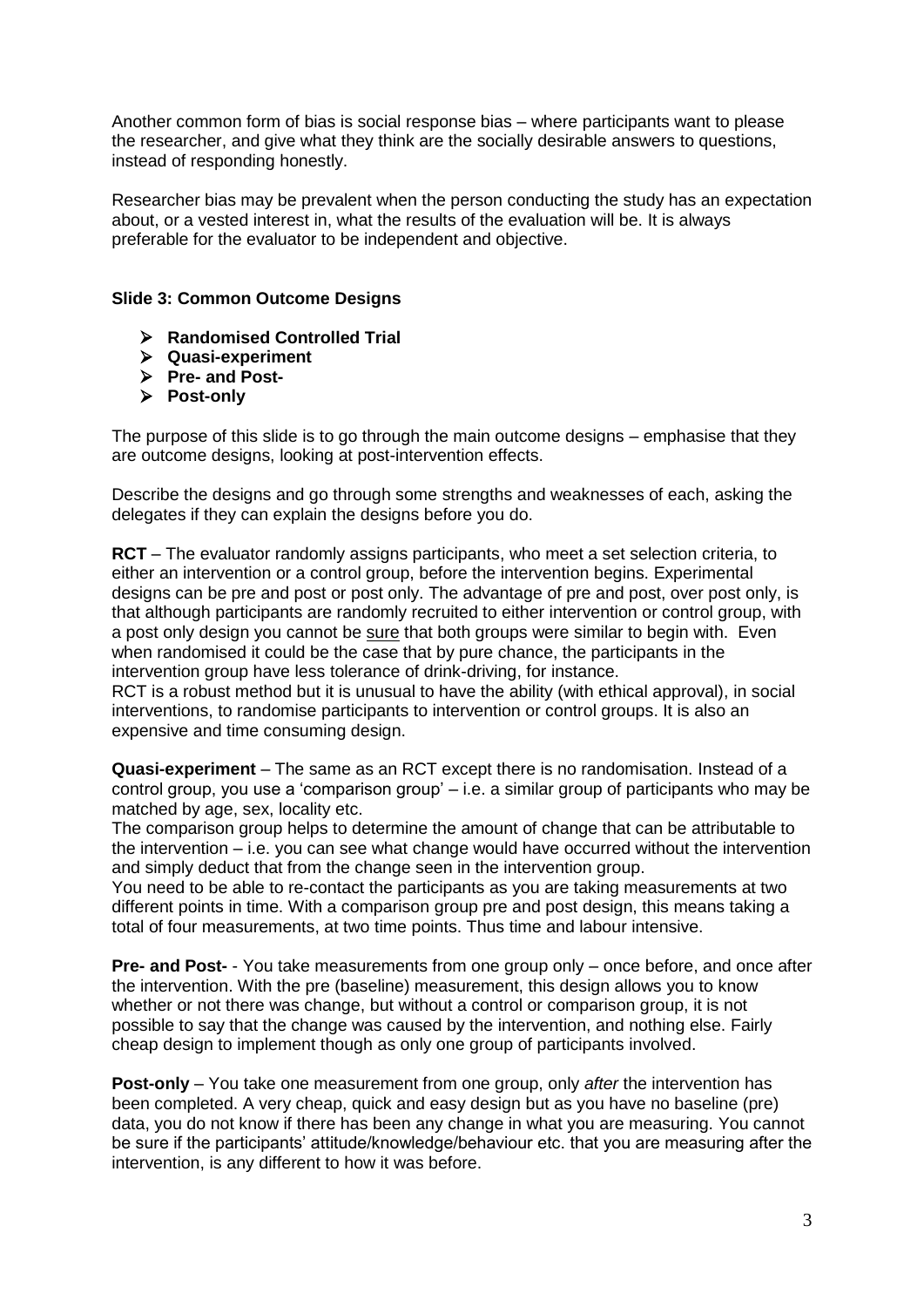Another common form of bias is social response bias – where participants want to please the researcher, and give what they think are the socially desirable answers to questions, instead of responding honestly.

Researcher bias may be prevalent when the person conducting the study has an expectation about, or a vested interest in, what the results of the evaluation will be. It is always preferable for the evaluator to be independent and objective.

### **Slide 3: Common Outcome Designs**

- **Randomised Controlled Trial**
- **Quasi-experiment**
- **Pre- and Post-**
- **Post-only**

The purpose of this slide is to go through the main outcome designs – emphasise that they are outcome designs, looking at post-intervention effects.

Describe the designs and go through some strengths and weaknesses of each, asking the delegates if they can explain the designs before you do.

**RCT** – The evaluator randomly assigns participants, who meet a set selection criteria, to either an intervention or a control group, before the intervention begins. Experimental designs can be pre and post or post only. The advantage of pre and post, over post only, is that although participants are randomly recruited to either intervention or control group, with a post only design you cannot be sure that both groups were similar to begin with. Even when randomised it could be the case that by pure chance, the participants in the intervention group have less tolerance of drink-driving, for instance.

RCT is a robust method but it is unusual to have the ability (with ethical approval), in social interventions, to randomise participants to intervention or control groups. It is also an expensive and time consuming design.

**Quasi-experiment** – The same as an RCT except there is no randomisation. Instead of a control group, you use a 'comparison group' – i.e. a similar group of participants who may be matched by age, sex, locality etc.

The comparison group helps to determine the amount of change that can be attributable to the intervention – i.e. you can see what change would have occurred without the intervention and simply deduct that from the change seen in the intervention group.

You need to be able to re-contact the participants as you are taking measurements at two different points in time. With a comparison group pre and post design, this means taking a total of four measurements, at two time points. Thus time and labour intensive.

**Pre- and Post-** - You take measurements from one group only – once before, and once after the intervention. With the pre (baseline) measurement, this design allows you to know whether or not there was change, but without a control or comparison group, it is not possible to say that the change was caused by the intervention, and nothing else. Fairly cheap design to implement though as only one group of participants involved.

**Post-only** – You take one measurement from one group, only *after* the intervention has been completed. A very cheap, quick and easy design but as you have no baseline (pre) data, you do not know if there has been any change in what you are measuring. You cannot be sure if the participants' attitude/knowledge/behaviour etc. that you are measuring after the intervention, is any different to how it was before.